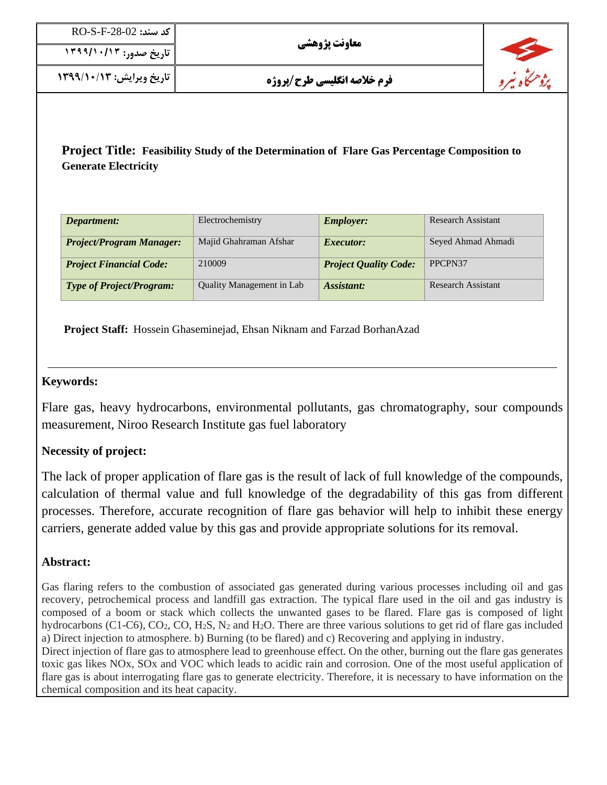| كد سند: RO-S-F-28-02     |
|--------------------------|
| تاريخ صدور: ۱۳۹۹/۱۰/۱۳۹۹ |

**تاريخ ويرايش: 1399/10/13 فرم خلاصه انگليسي طرح/پروژه** 

**Project Title: Feasibility Study of the Determination of Flare Gas Percentage Composition to Generate Electricity**

| Department:                     | Electrochemistry                 | <b>Employer:</b>             | <b>Research Assistant</b> |
|---------------------------------|----------------------------------|------------------------------|---------------------------|
| <b>Project/Program Manager:</b> | Majid Ghahraman Afshar           | <i>Executor:</i>             | Seyed Ahmad Ahmadi        |
| <b>Project Financial Code:</b>  | 210009                           | <b>Project Quality Code:</b> | PPCPN37                   |
| <b>Type of Project/Program:</b> | <b>Quality Management in Lab</b> | Assistant:                   | <b>Research Assistant</b> |

 **Project Staff:** Hossein Ghaseminejad, Ehsan Niknam and Farzad BorhanAzad

### **Keywords:**

Flare gas, heavy hydrocarbons, environmental pollutants, gas chromatography, sour compounds measurement, Niroo Research Institute gas fuel laboratory

## **Necessity of project:**

The lack of proper application of flare gas is the result of lack of full knowledge of the compounds, calculation of thermal value and full knowledge of the degradability of this gas from different processes. Therefore, accurate recognition of flare gas behavior will help to inhibit these energy carriers, generate added value by this gas and provide appropriate solutions for its removal.

## **Abstract:**

Gas flaring refers to the combustion of associated gas generated during various processes including oil and gas recovery, petrochemical process and landfill gas extraction. The typical flare used in the oil and gas industry is composed of a boom or stack which collects the unwanted gases to be flared. Flare gas is composed of light hydrocarbons (C1-C6), CO<sub>2</sub>, CO, H<sub>2</sub>S, N<sub>2</sub> and H<sub>2</sub>O. There are three various solutions to get rid of flare gas included a) Direct injection to atmosphere. b) Burning (to be flared) and c) Recovering and applying in industry.

Direct injection of flare gas to atmosphere lead to greenhouse effect. On the other, burning out the flare gas generates toxic gas likes NOx, SOx and VOC which leads to acidic rain and corrosion. One of the most useful application of flare gas is about interrogating flare gas to generate electricity. Therefore, it is necessary to have information on the chemical composition and its heat capacity.